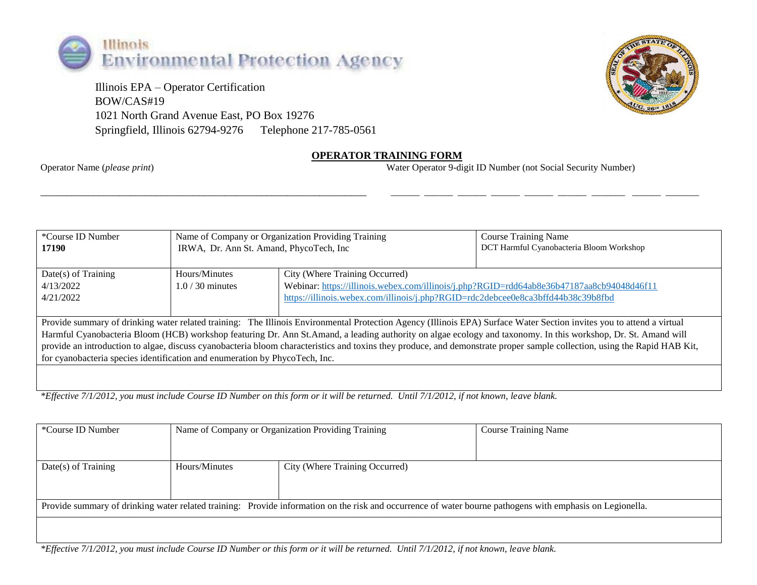

 Illinois EPA – Operator Certification BOW/CAS#19 1021 North Grand Avenue East, PO Box 19276 Springfield, Illinois 62794-9276 Telephone 217-785-0561



## **OPERATOR TRAINING FORM**

\_\_\_\_\_\_\_\_\_\_\_\_\_\_\_\_\_\_\_\_\_\_\_\_\_\_\_\_\_\_\_\_\_\_\_\_\_\_\_\_\_\_\_\_\_\_\_\_\_\_\_\_\_\_\_\_\_\_\_\_\_\_ \_\_\_\_\_\_ \_\_\_\_\_\_ \_\_\_\_\_\_ \_\_\_\_\_\_ \_\_\_\_\_\_ \_\_\_\_\_\_ \_\_\_\_\_\_\_ \_\_\_\_\_\_ \_\_\_\_\_\_\_

Operator Name (*please print*) Water Operator 9-digit ID Number (not Social Security Number)

| *Course ID Number<br>17190                                                                                                                                                                                                                                                                                                                                                                                                                                                                                                                                                                          | Name of Company or Organization Providing Training<br>IRWA, Dr. Ann St. Amand, PhycoTech, Inc. |                                                                                                                                                                                                                 | <b>Course Training Name</b><br>DCT Harmful Cyanobacteria Bloom Workshop |  |  |  |
|-----------------------------------------------------------------------------------------------------------------------------------------------------------------------------------------------------------------------------------------------------------------------------------------------------------------------------------------------------------------------------------------------------------------------------------------------------------------------------------------------------------------------------------------------------------------------------------------------------|------------------------------------------------------------------------------------------------|-----------------------------------------------------------------------------------------------------------------------------------------------------------------------------------------------------------------|-------------------------------------------------------------------------|--|--|--|
| $Date(s)$ of Training<br>4/13/2022<br>4/21/2022                                                                                                                                                                                                                                                                                                                                                                                                                                                                                                                                                     | Hours/Minutes<br>$1.0/30$ minutes                                                              | City (Where Training Occurred)<br>Webinar: https://illinois.webex.com/illinois/j.php?RGID=rdd64ab8e36b47187aa8cb94048d46f11<br>https://illinois.webex.com/illinois/j.php?RGID=rdc2debcee0e8ca3bffd44b38c39b8fbd |                                                                         |  |  |  |
| Provide summary of drinking water related training: The Illinois Environmental Protection Agency (Illinois EPA) Surface Water Section invites you to attend a virtual<br>Harmful Cyanobacteria Bloom (HCB) workshop featuring Dr. Ann St.Amand, a leading authority on algae ecology and taxonomy. In this workshop, Dr. St. Amand will<br>provide an introduction to algae, discuss cyanobacteria bloom characteristics and toxins they produce, and demonstrate proper sample collection, using the Rapid HAB Kit,<br>for cyanobacteria species identification and enumeration by PhycoTech, Inc. |                                                                                                |                                                                                                                                                                                                                 |                                                                         |  |  |  |

*\*Effective 7/1/2012, you must include Course ID Number on this form or it will be returned. Until 7/1/2012, if not known, leave blank.*

| *Course ID Number                                                                                                                                         | Name of Company or Organization Providing Training |                                | <b>Course Training Name</b> |  |  |
|-----------------------------------------------------------------------------------------------------------------------------------------------------------|----------------------------------------------------|--------------------------------|-----------------------------|--|--|
| $Date(s)$ of Training                                                                                                                                     | Hours/Minutes                                      | City (Where Training Occurred) |                             |  |  |
| Provide summary of drinking water related training: Provide information on the risk and occurrence of water bourne pathogens with emphasis on Legionella. |                                                    |                                |                             |  |  |
|                                                                                                                                                           |                                                    |                                |                             |  |  |

*\*Effective 7/1/2012, you must include Course ID Number or this form or it will be returned. Until 7/1/2012, if not known, leave blank.*